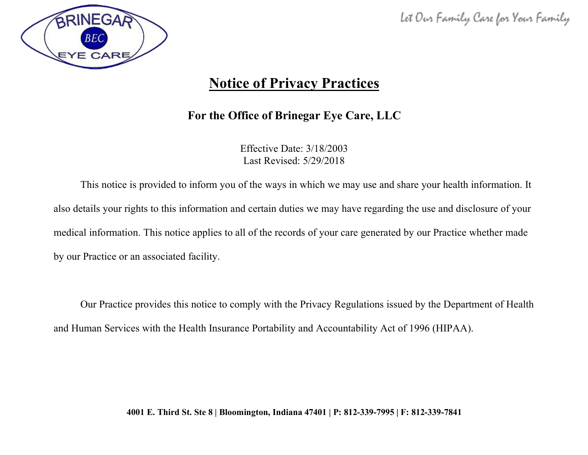

# **Notice of Privacy Practices**

### **For the Office of Brinegar Eye Care, LLC**

Effective Date: 3/18/2003 Last Revised: 5/29/2018

This notice is provided to inform you of the ways in which we may use and share your health information. It also details your rights to this information and certain duties we may have regarding the use and disclosure of your medical information. This notice applies to all of the records of your care generated by our Practice whether made by our Practice or an associated facility.

Our Practice provides this notice to comply with the Privacy Regulations issued by the Department of Health and Human Services with the Health Insurance Portability and Accountability Act of 1996 (HIPAA).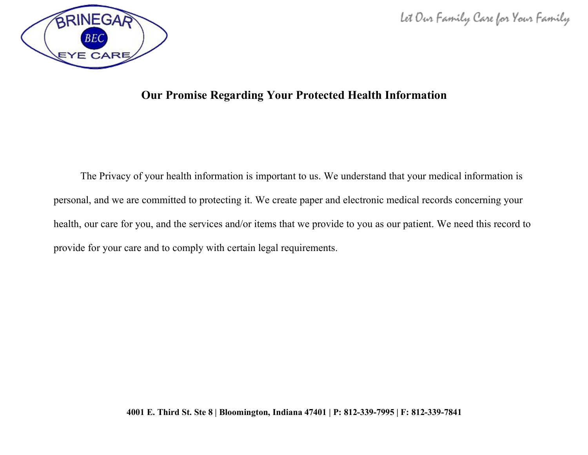



### **Our Promise Regarding Your Protected Health Information**

The Privacy of your health information is important to us. We understand that your medical information is personal, and we are committed to protecting it. We create paper and electronic medical records concerning your health, our care for you, and the services and/or items that we provide to you as our patient. We need this record to provide for your care and to comply with certain legal requirements.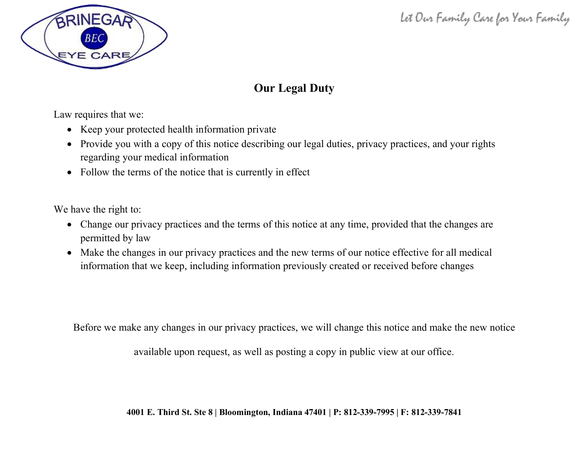

## **Our Legal Duty**

Law requires that we:

- Keep your protected health information private
- Provide you with a copy of this notice describing our legal duties, privacy practices, and your rights regarding your medical information
- Follow the terms of the notice that is currently in effect

We have the right to:

- Change our privacy practices and the terms of this notice at any time, provided that the changes are permitted by law
- Make the changes in our privacy practices and the new terms of our notice effective for all medical information that we keep, including information previously created or received before changes

Before we make any changes in our privacy practices, we will change this notice and make the new notice

available upon request, as well as posting a copy in public view at our office.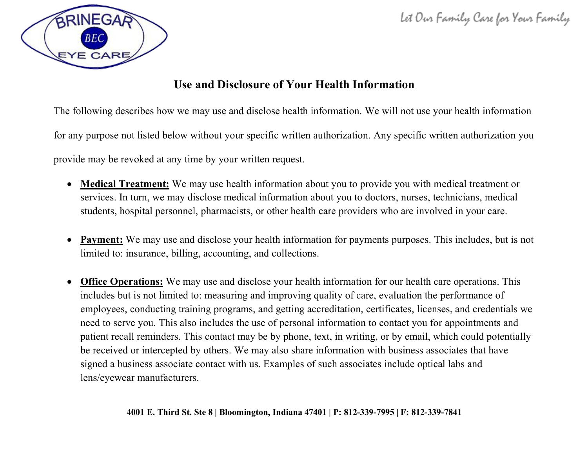

### **Use and Disclosure of Your Health Information**

The following describes how we may use and disclose health information. We will not use your health information

for any purpose not listed below without your specific written authorization. Any specific written authorization you

provide may be revoked at any time by your written request.

- **Medical Treatment:** We may use health information about you to provide you with medical treatment or services. In turn, we may disclose medical information about you to doctors, nurses, technicians, medical students, hospital personnel, pharmacists, or other health care providers who are involved in your care.
- **Payment:** We may use and disclose your health information for payments purposes. This includes, but is not limited to: insurance, billing, accounting, and collections.
- **Office Operations:** We may use and disclose your health information for our health care operations. This includes but is not limited to: measuring and improving quality of care, evaluation the performance of employees, conducting training programs, and getting accreditation, certificates, licenses, and credentials we need to serve you. This also includes the use of personal information to contact you for appointments and patient recall reminders. This contact may be by phone, text, in writing, or by email, which could potentially be received or intercepted by others. We may also share information with business associates that have signed a business associate contact with us. Examples of such associates include optical labs and lens/eyewear manufacturers.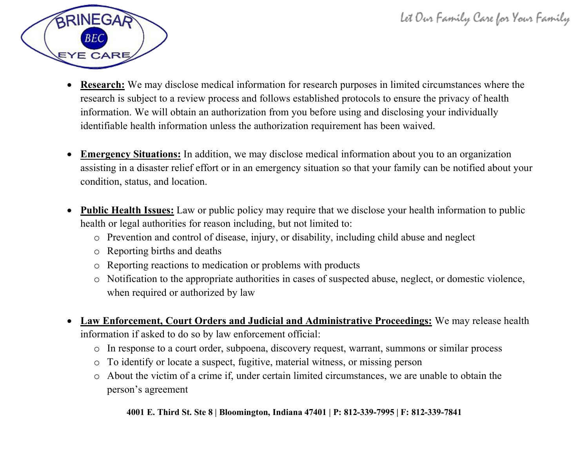

- **Research:** We may disclose medical information for research purposes in limited circumstances where the research is subject to a review process and follows established protocols to ensure the privacy of health information. We will obtain an authorization from you before using and disclosing your individually identifiable health information unless the authorization requirement has been waived.
- **Emergency Situations:** In addition, we may disclose medical information about you to an organization assisting in a disaster relief effort or in an emergency situation so that your family can be notified about your condition, status, and location.
- **Public Health Issues:** Law or public policy may require that we disclose your health information to public health or legal authorities for reason including, but not limited to:
	- o Prevention and control of disease, injury, or disability, including child abuse and neglect
	- o Reporting births and deaths
	- o Reporting reactions to medication or problems with products
	- o Notification to the appropriate authorities in cases of suspected abuse, neglect, or domestic violence, when required or authorized by law
- **Law Enforcement, Court Orders and Judicial and Administrative Proceedings:** We may release health information if asked to do so by law enforcement official:
	- o In response to a court order, subpoena, discovery request, warrant, summons or similar process
	- o To identify or locate a suspect, fugitive, material witness, or missing person
	- o About the victim of a crime if, under certain limited circumstances, we are unable to obtain the person's agreement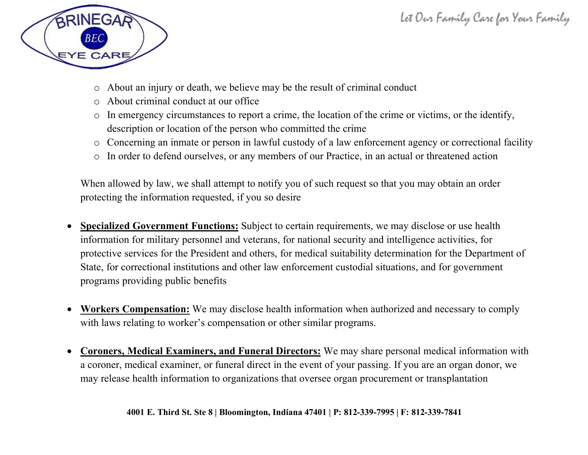

- o About an injury or death, we believe may be the result of criminal conduct
- o About criminal conduct at our office
- o In emergency circumstances to report a crime, the location of the crime or victims, or the identify, description or location of the person who committed the crime
- o Concerning an inmate or person in lawful custody of a law enforcement agency or correctional facility
- o In order to defend ourselves, or any members of our Practice, in an actual or threatened action

When allowed by law, we shall attempt to notify you of such request so that you may obtain an order protecting the information requested, if you so desire

- **Specialized Government Functions:** Subject to certain requirements, we may disclose or use health information for military personnel and veterans, for national security and intelligence activities, for protective services for the President and others, for medical suitability determination for the Department of State, for correctional institutions and other law enforcement custodial situations, and for government programs providing public benefits
- **Workers Compensation:** We may disclose health information when authorized and necessary to comply with laws relating to worker's compensation or other similar programs.
- **Coroners, Medical Examiners, and Funeral Directors:** We may share personal medical information with a coroner, medical examiner, or funeral direct in the event of your passing. If you are an organ donor, we may release health information to organizations that oversee organ procurement or transplantation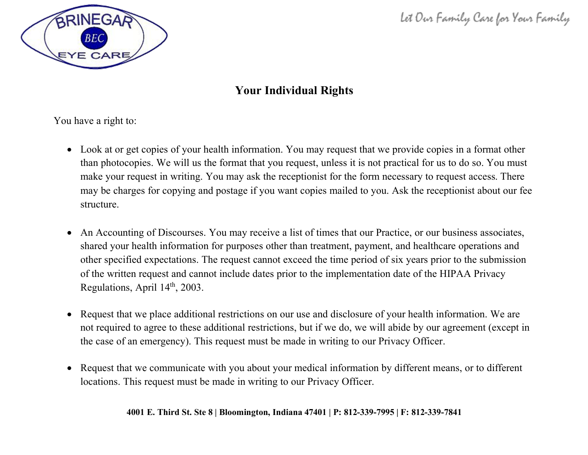

### **Your Individual Rights**

You have a right to:

- Look at or get copies of your health information. You may request that we provide copies in a format other than photocopies. We will us the format that you request, unless it is not practical for us to do so. You must make your request in writing. You may ask the receptionist for the form necessary to request access. There may be charges for copying and postage if you want copies mailed to you. Ask the receptionist about our fee structure.
- An Accounting of Discourses. You may receive a list of times that our Practice, or our business associates, shared your health information for purposes other than treatment, payment, and healthcare operations and other specified expectations. The request cannot exceed the time period of six years prior to the submission of the written request and cannot include dates prior to the implementation date of the HIPAA Privacy Regulations, April 14<sup>th</sup>, 2003.
- Request that we place additional restrictions on our use and disclosure of your health information. We are not required to agree to these additional restrictions, but if we do, we will abide by our agreement (except in the case of an emergency). This request must be made in writing to our Privacy Officer.
- Request that we communicate with you about your medical information by different means, or to different locations. This request must be made in writing to our Privacy Officer.